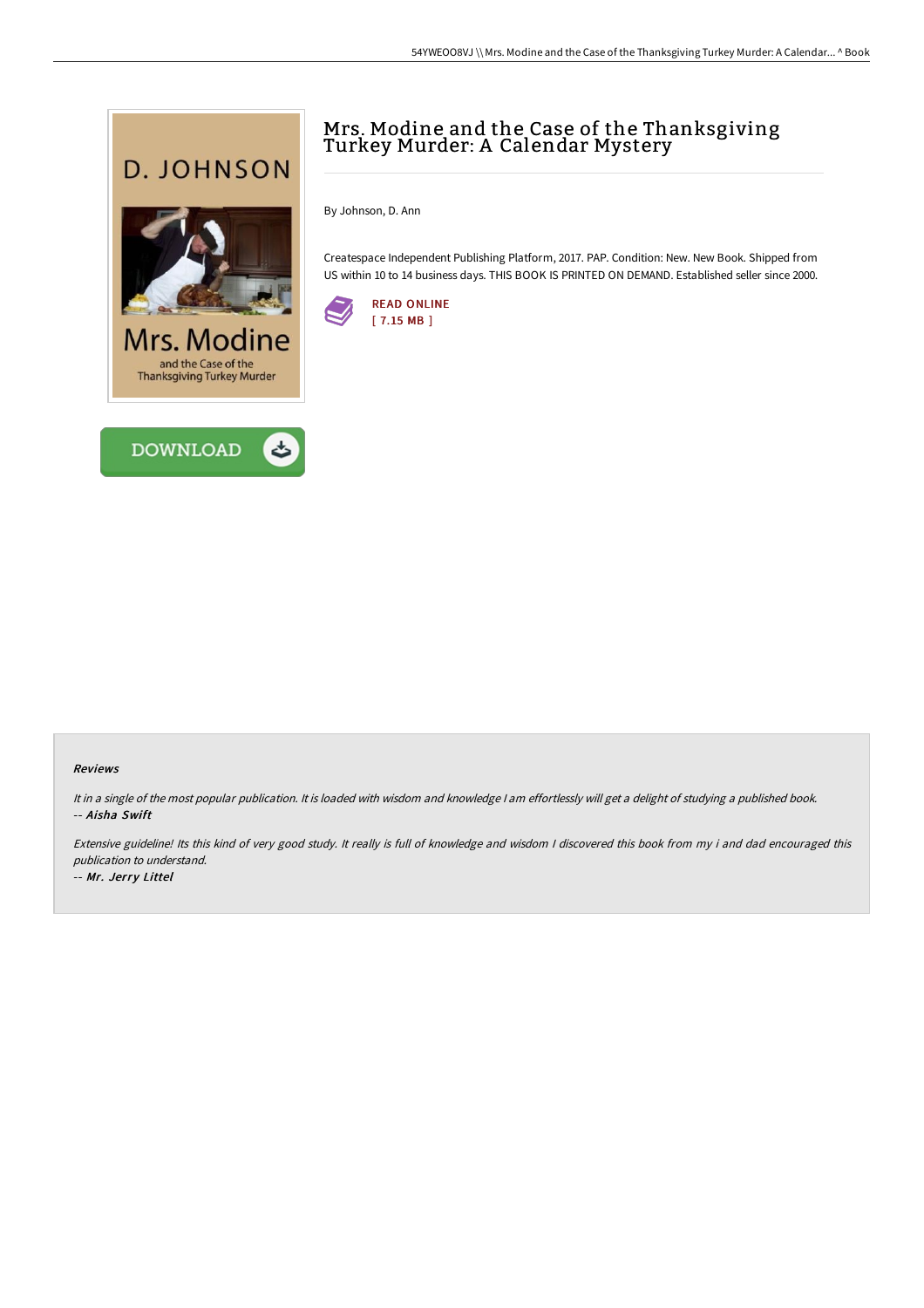



# Mrs. Modine and the Case of the Thanksgiving Turkey Murder: A Calendar Mystery

By Johnson, D. Ann

Createspace Independent Publishing Platform, 2017. PAP. Condition: New. New Book. Shipped from US within 10 to 14 business days. THIS BOOK IS PRINTED ON DEMAND. Established seller since 2000.



#### Reviews

It in <sup>a</sup> single of the most popular publication. It is loaded with wisdom and knowledge <sup>I</sup> am effortlessly will get <sup>a</sup> delight of studying <sup>a</sup> published book. -- Aisha Swift

Extensive guideline! Its this kind of very good study. It really is full of knowledge and wisdom <sup>I</sup> discovered this book from my i and dad encouraged this publication to understand.

-- Mr. Jerry Littel